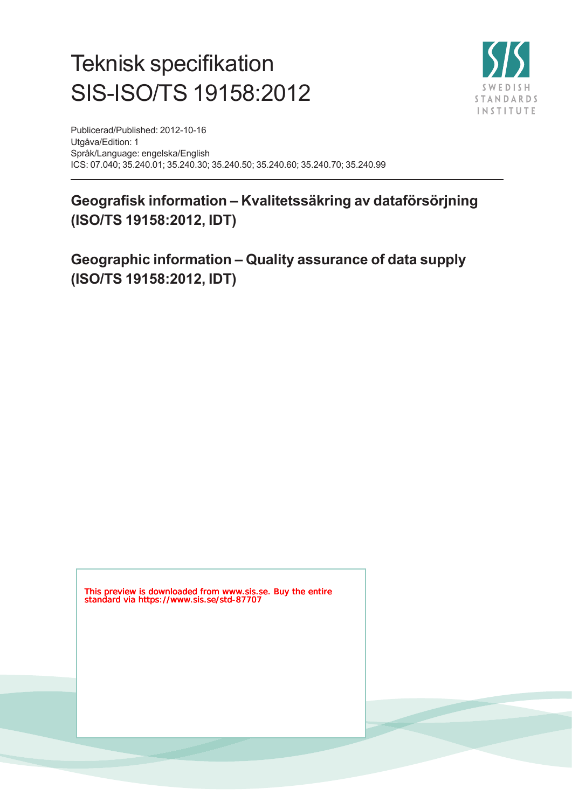# Teknisk specifikation SIS-ISO/TS 19158:2012



Publicerad/Published: 2012-10-16 Utgåva/Edition: 1 Språk/Language: engelska/English ICS: 07.040; 35.240.01; 35.240.30; 35.240.50; 35.240.60; 35.240.70; 35.240.99

# **Geografisk information – Kvalitetssäkring av dataförsörjning (ISO/TS 19158:2012, IDT)**

**Geographic information – Quality assurance of data supply (ISO/TS 19158:2012, IDT)**

This preview is downloaded from www.sis.se. Buy the entire standard via https://www.sis.se/std-87707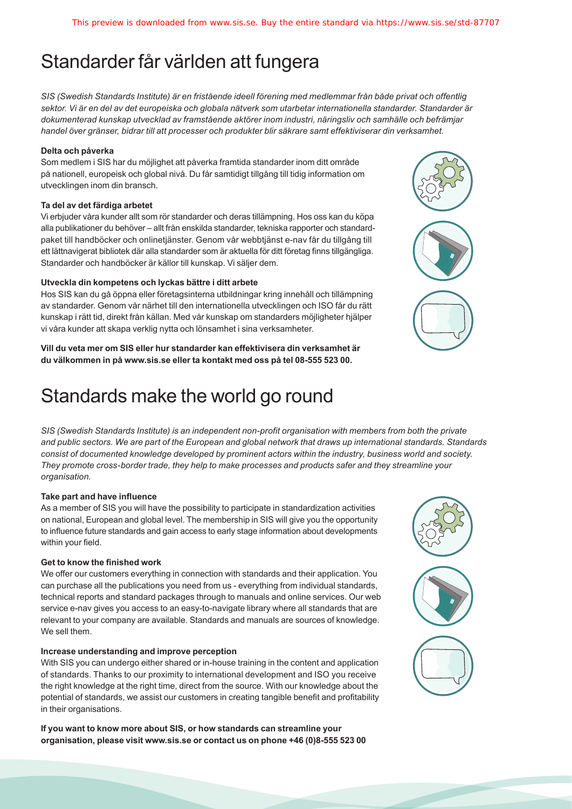# Standarder får världen att fungera

*SIS (Swedish Standards Institute) är en fristående ideell förening med medlemmar från både privat och offentlig sektor. Vi är en del av det europeiska och globala nätverk som utarbetar internationella standarder. Standarder är dokumenterad kunskap utvecklad av framstående aktörer inom industri, näringsliv och samhälle och befrämjar handel över gränser, bidrar till att processer och produkter blir säkrare samt effektiviserar din verksamhet.* 

#### **Delta och påverka**

Som medlem i SIS har du möjlighet att påverka framtida standarder inom ditt område på nationell, europeisk och global nivå. Du får samtidigt tillgång till tidig information om utvecklingen inom din bransch.

#### **Ta del av det färdiga arbetet**

Vi erbjuder våra kunder allt som rör standarder och deras tillämpning. Hos oss kan du köpa alla publikationer du behöver – allt från enskilda standarder, tekniska rapporter och standardpaket till handböcker och onlinetjänster. Genom vår webbtjänst e-nav får du tillgång till ett lättnavigerat bibliotek där alla standarder som är aktuella för ditt företag finns tillgängliga. Standarder och handböcker är källor till kunskap. Vi säljer dem.

#### **Utveckla din kompetens och lyckas bättre i ditt arbete**

Hos SIS kan du gå öppna eller företagsinterna utbildningar kring innehåll och tillämpning av standarder. Genom vår närhet till den internationella utvecklingen och ISO får du rätt kunskap i rätt tid, direkt från källan. Med vår kunskap om standarders möjligheter hjälper vi våra kunder att skapa verklig nytta och lönsamhet i sina verksamheter.

**Vill du veta mer om SIS eller hur standarder kan effektivisera din verksamhet är du välkommen in på www.sis.se eller ta kontakt med oss på tel 08-555 523 00.**

# Standards make the world go round

*SIS (Swedish Standards Institute) is an independent non-profit organisation with members from both the private and public sectors. We are part of the European and global network that draws up international standards. Standards consist of documented knowledge developed by prominent actors within the industry, business world and society. They promote cross-border trade, they help to make processes and products safer and they streamline your organisation.*

#### **Take part and have influence**

As a member of SIS you will have the possibility to participate in standardization activities on national, European and global level. The membership in SIS will give you the opportunity to influence future standards and gain access to early stage information about developments within your field.

#### **Get to know the finished work**

We offer our customers everything in connection with standards and their application. You can purchase all the publications you need from us - everything from individual standards, technical reports and standard packages through to manuals and online services. Our web service e-nav gives you access to an easy-to-navigate library where all standards that are relevant to your company are available. Standards and manuals are sources of knowledge. We sell them.

#### **Increase understanding and improve perception**

With SIS you can undergo either shared or in-house training in the content and application of standards. Thanks to our proximity to international development and ISO you receive the right knowledge at the right time, direct from the source. With our knowledge about the potential of standards, we assist our customers in creating tangible benefit and profitability in their organisations.

**If you want to know more about SIS, or how standards can streamline your organisation, please visit www.sis.se or contact us on phone +46 (0)8-555 523 00**



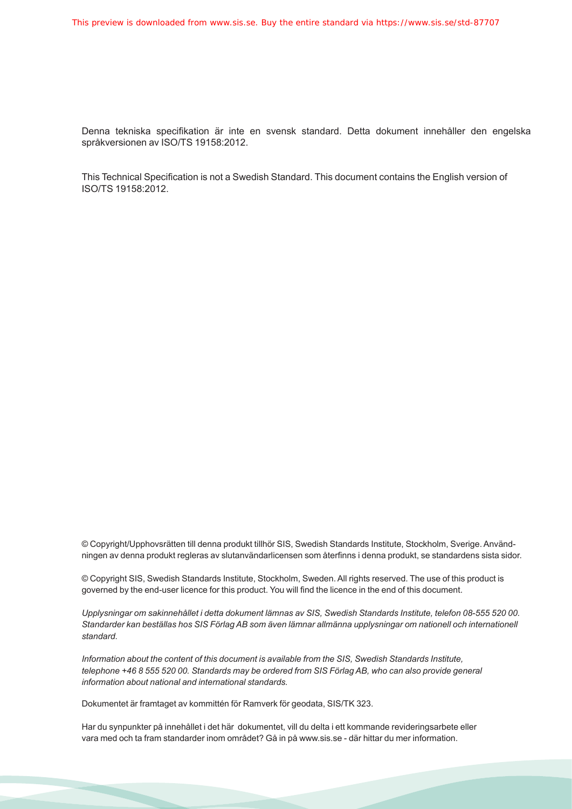Denna tekniska specifikation är inte en svensk standard. Detta dokument innehåller den engelska språkversionen av ISO/TS 19158:2012.

This Technical Specification is not a Swedish Standard. This document contains the English version of ISO/TS 19158:2012.

© Copyright/Upphovsrätten till denna produkt tillhör SIS, Swedish Standards Institute, Stockholm, Sverige. Användningen av denna produkt regleras av slutanvändarlicensen som återfinns i denna produkt, se standardens sista sidor.

© Copyright SIS, Swedish Standards Institute, Stockholm, Sweden. All rights reserved. The use of this product is governed by the end-user licence for this product. You will find the licence in the end of this document.

*Upplysningar om sakinnehållet i detta dokument lämnas av SIS, Swedish Standards Institute, telefon 08-555 520 00.*  Standarder kan beställas hos SIS Förlag AB som även lämnar allmänna upplysningar om nationell och internationell *standard.*

*Information about the content of this document is available from the SIS, Swedish Standards Institute, telephone +46 8 555 520 00. Standards may be ordered from SIS Förlag AB, who can also provide general information about national and international standards.*

Dokumentet är framtaget av kommittén för Ramverk för geodata, SIS/TK 323.

Har du synpunkter på innehållet i det här dokumentet, vill du delta i ett kommande revideringsarbete eller vara med och ta fram standarder inom området? Gå in på www.sis.se - där hittar du mer information.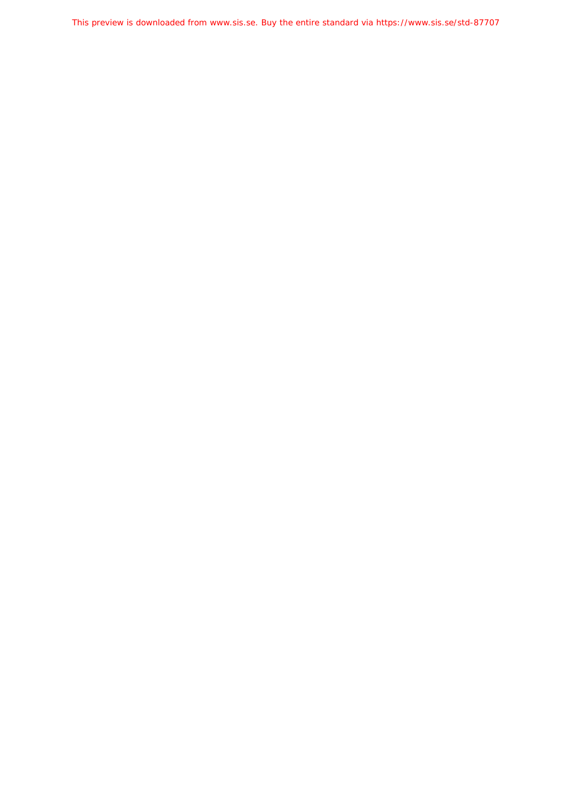This preview is downloaded from www.sis.se. Buy the entire standard via https://www.sis.se/std-87707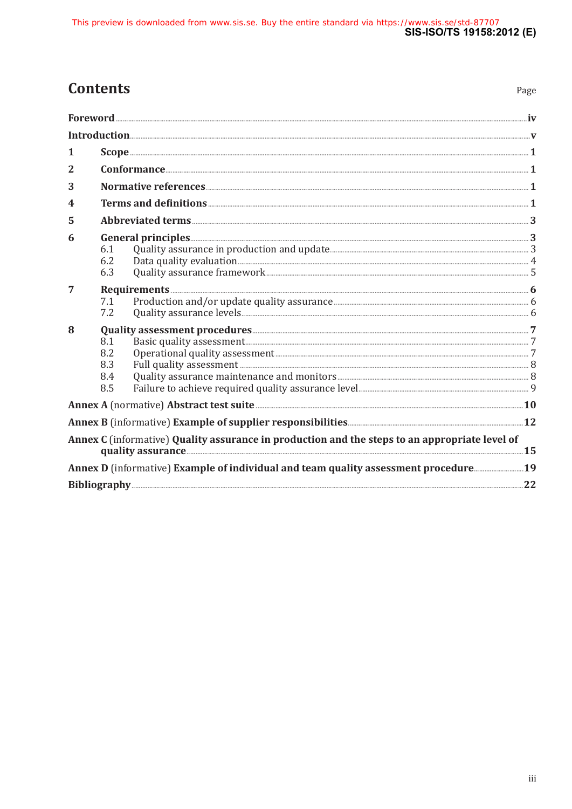# **Contents**

| 1 |                                                                                                                                                        |  |
|---|--------------------------------------------------------------------------------------------------------------------------------------------------------|--|
| 2 |                                                                                                                                                        |  |
| 3 |                                                                                                                                                        |  |
| 4 |                                                                                                                                                        |  |
| 5 |                                                                                                                                                        |  |
| 6 | 6.1<br>6.2<br>6.3                                                                                                                                      |  |
| 7 | 7.1<br>7.2                                                                                                                                             |  |
| 8 | 8.1<br>8.2<br>8.3<br>8.4<br>8.5                                                                                                                        |  |
|   | Annex A (normative) Abstract test suite <b>Election Communities</b> 10                                                                                 |  |
|   |                                                                                                                                                        |  |
|   | Annex C (informative) Quality assurance in production and the steps to an appropriate level of<br>quality assurance <b>Exercise Allen assurance</b> 15 |  |
|   | Annex D (informative) Example of individual and team quality assessment procedure19                                                                    |  |
|   |                                                                                                                                                        |  |

Page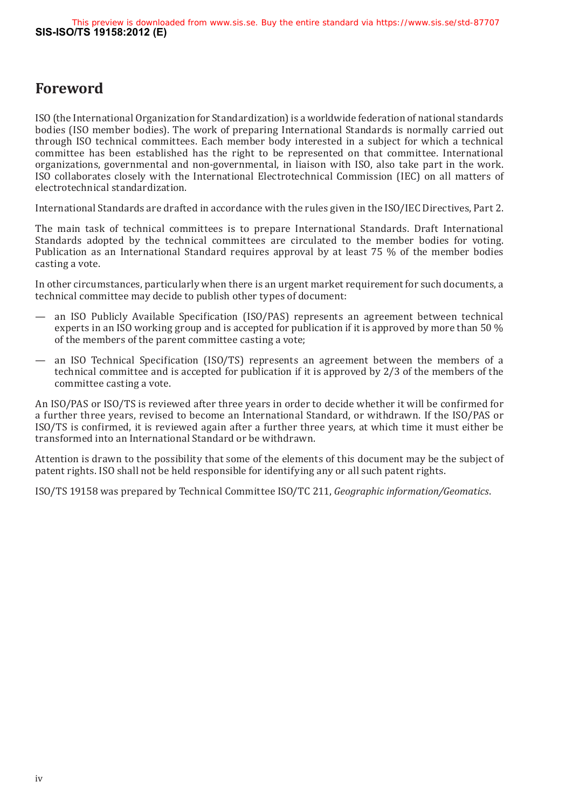# <span id="page-5-0"></span>**Foreword**

ISO (the International Organization for Standardization) is a worldwide federation of national standards bodies (ISO member bodies). The work of preparing International Standards is normally carried out through ISO technical committees. Each member body interested in a subject for which a technical committee has been established has the right to be represented on that committee. International organizations, governmental and non-governmental, in liaison with ISO, also take part in the work. ISO collaborates closely with the International Electrotechnical Commission (IEC) on all matters of electrotechnical standardization.

International Standards are drafted in accordance with the rules given in the ISO/IEC Directives, Part 2.

The main task of technical committees is to prepare International Standards. Draft International Standards adopted by the technical committees are circulated to the member bodies for voting. Publication as an International Standard requires approval by at least 75 % of the member bodies casting a vote.

In other circumstances, particularly when there is an urgent market requirement for such documents, a technical committee may decide to publish other types of document:

- an ISO Publicly Available Specification (ISO/PAS) represents an agreement between technical experts in an ISO working group and is accepted for publication if it is approved by more than 50 % of the members of the parent committee casting a vote;
- an ISO Technical Specification (ISO/TS) represents an agreement between the members of a technical committee and is accepted for publication if it is approved by 2/3 of the members of the committee casting a vote.

An ISO/PAS or ISO/TS is reviewed after three years in order to decide whether it will be confirmed for a further three years, revised to become an International Standard, or withdrawn. If the ISO/PAS or ISO/TS is confirmed, it is reviewed again after a further three years, at which time it must either be transformed into an International Standard or be withdrawn.

Attention is drawn to the possibility that some of the elements of this document may be the subject of patent rights. ISO shall not be held responsible for identifying any or all such patent rights.

ISO/TS 19158 was prepared by Technical Committee ISO/TC 211, *Geographic information/Geomatics*.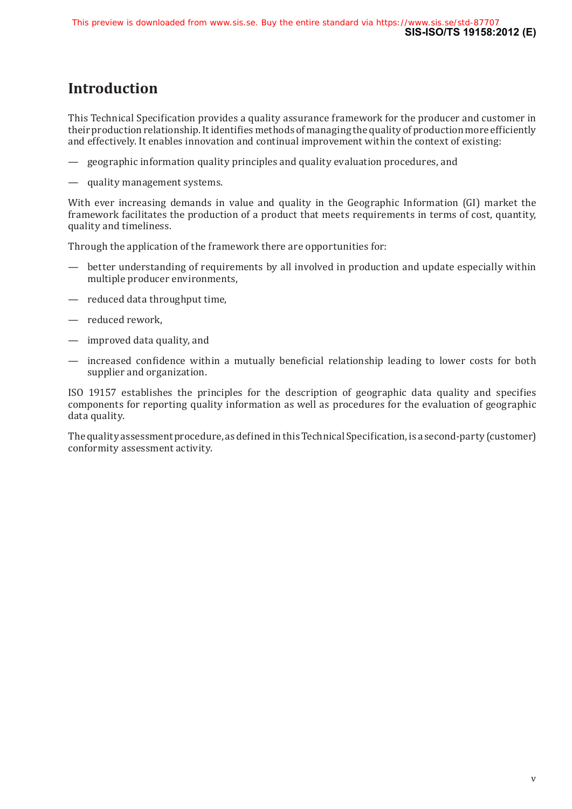# <span id="page-6-0"></span>**Introduction**

This Technical Specification provides a quality assurance framework for the producer and customer in their production relationship. It identifies methods of managing the quality of production more efficiently and effectively. It enables innovation and continual improvement within the context of existing:

- geographic information quality principles and quality evaluation procedures, and
- quality management systems.

With ever increasing demands in value and quality in the Geographic Information (GI) market the framework facilitates the production of a product that meets requirements in terms of cost, quantity, quality and timeliness.

Through the application of the framework there are opportunities for:

- better understanding of requirements by all involved in production and update especially within multiple producer environments,
- reduced data throughput time,
- reduced rework,
- improved data quality, and
- increased confidence within a mutually beneficial relationship leading to lower costs for both supplier and organization.

ISO 19157 establishes the principles for the description of geographic data quality and specifies components for reporting quality information as well as procedures for the evaluation of geographic data quality.

The quality assessment procedure, as defined in this Technical Specification, is a second-party (customer) conformity assessment activity.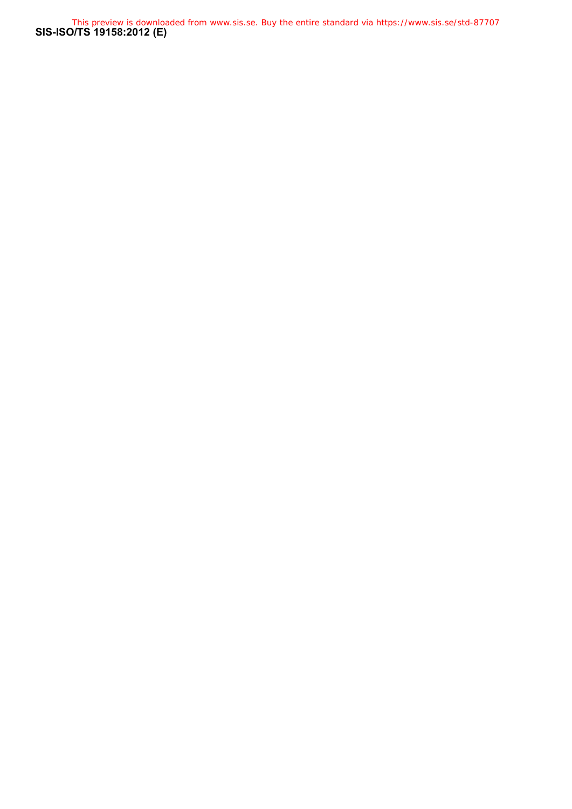**SIS-ISO/TS 19158:2012 (E)** This preview is downloaded from www.sis.se. Buy the entire standard via https://www.sis.se/std-87707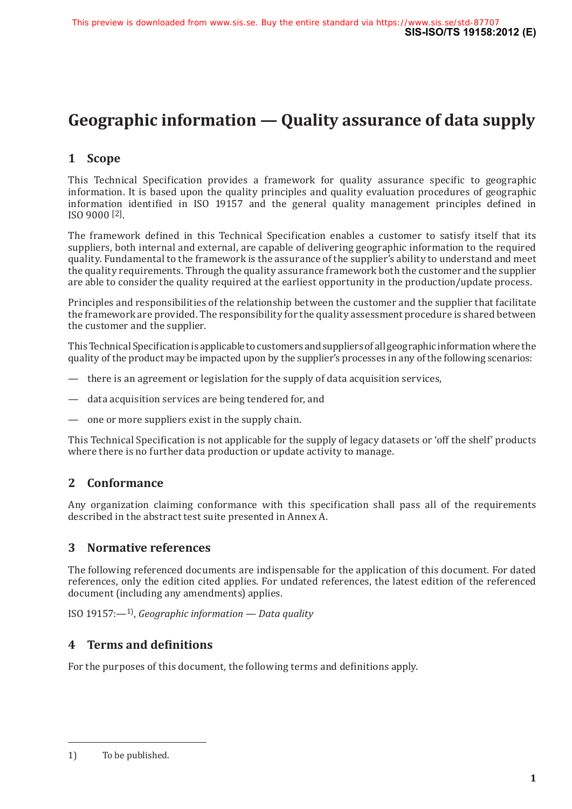# <span id="page-8-0"></span>**Geographic information — Quality assurance of data supply**

# **1 Scope**

This Technical Specification provides a framework for quality assurance specific to geographic information. It is based upon the quality principles and quality evaluation procedures of geographic information identified in ISO 19157 and the general quality management principles defined in ISO 9000 [2].

The framework defined in this Technical Specification enables a customer to satisfy itself that its suppliers, both internal and external, are capable of delivering geographic information to the required quality. Fundamental to the framework is the assurance of the supplier's ability to understand and meet the quality requirements. Through the quality assurance framework both the customer and the supplier are able to consider the quality required at the earliest opportunity in the production/update process.

Principles and responsibilities of the relationship between the customer and the supplier that facilitate the framework are provided. The responsibility for the quality assessment procedure is shared between the customer and the supplier.

This Technical Specification is applicable to customers and suppliers of all geographic information where the quality of the product may be impacted upon by the supplier's processes in any of the following scenarios:

- there is an agreement or legislation for the supply of data acquisition services,
- data acquisition services are being tendered for, and
- one or more suppliers exist in the supply chain.

This Technical Specification is not applicable for the supply of legacy datasets or 'off the shelf' products where there is no further data production or update activity to manage.

# **2 Conformance**

Any organization claiming conformance with this specification shall pass all of the requirements described in the abstract test suite presented in Annex A.

# **3 Normative references**

The following referenced documents are indispensable for the application of this document. For dated references, only the edition cited applies. For undated references, the latest edition of the referenced document (including any amendments) applies.

ISO 19157:—1), *Geographic information — Data quality*

# **4 Terms and definitions**

For the purposes of this document, the following terms and definitions apply.

<sup>1)</sup> To be published.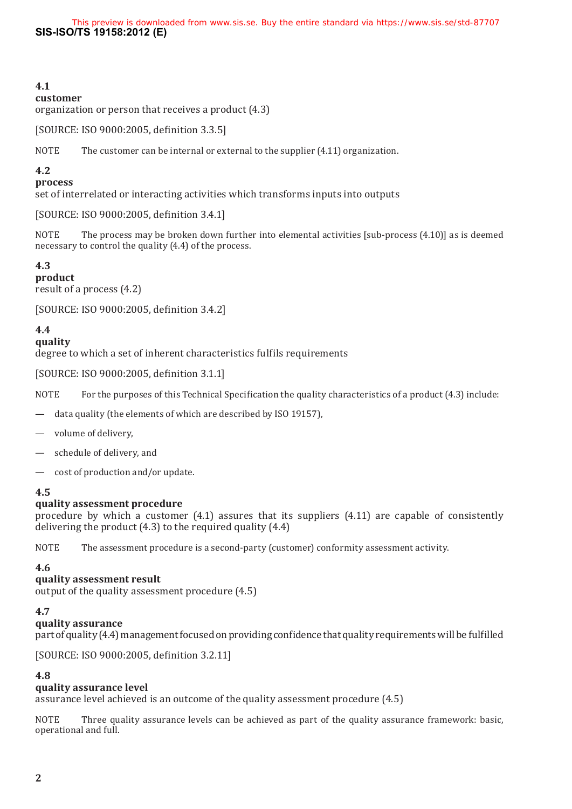# **4.1**

#### **customer**

organization or person that receives a product (4.3)

#### [SOURCE: ISO 9000:2005, definition 3.3.5]

NOTE The customer can be internal or external to the supplier (4.11) organization.

### **4.2**

#### **process**

set of interrelated or interacting activities which transforms inputs into outputs

[SOURCE: ISO 9000:2005, definition 3.4.1]

NOTE The process may be broken down further into elemental activities [sub-process (4.10)] as is deemed necessary to control the quality (4.4) of the process.

### **4.3**

#### **product**

result of a process (4.2)

[SOURCE: ISO 9000:2005, definition 3.4.2]

### **4.4**

#### **quality**

degree to which a set of inherent characteristics fulfils requirements

[SOURCE: ISO 9000:2005, definition 3.1.1]

NOTE For the purposes of this Technical Specification the quality characteristics of a product (4.3) include:

data quality (the elements of which are described by ISO 19157),

- volume of delivery,
- schedule of delivery, and
- cost of production and/or update.

### **4.5**

#### **quality assessment procedure**

procedure by which a customer (4.1) assures that its suppliers (4.11) are capable of consistently delivering the product (4.3) to the required quality (4.4)

NOTE The assessment procedure is a second-party (customer) conformity assessment activity.

#### **4.6**

#### **quality assessment result**

output of the quality assessment procedure (4.5)

#### **4.7**

#### **quality assurance**

part of quality (4.4) management focused on providing confidence that quality requirements will be fulfilled

[SOURCE: ISO 9000:2005, definition 3.2.11]

### **4.8**

#### **quality assurance level**

assurance level achieved is an outcome of the quality assessment procedure (4.5)

NOTE Three quality assurance levels can be achieved as part of the quality assurance framework: basic, operational and full.